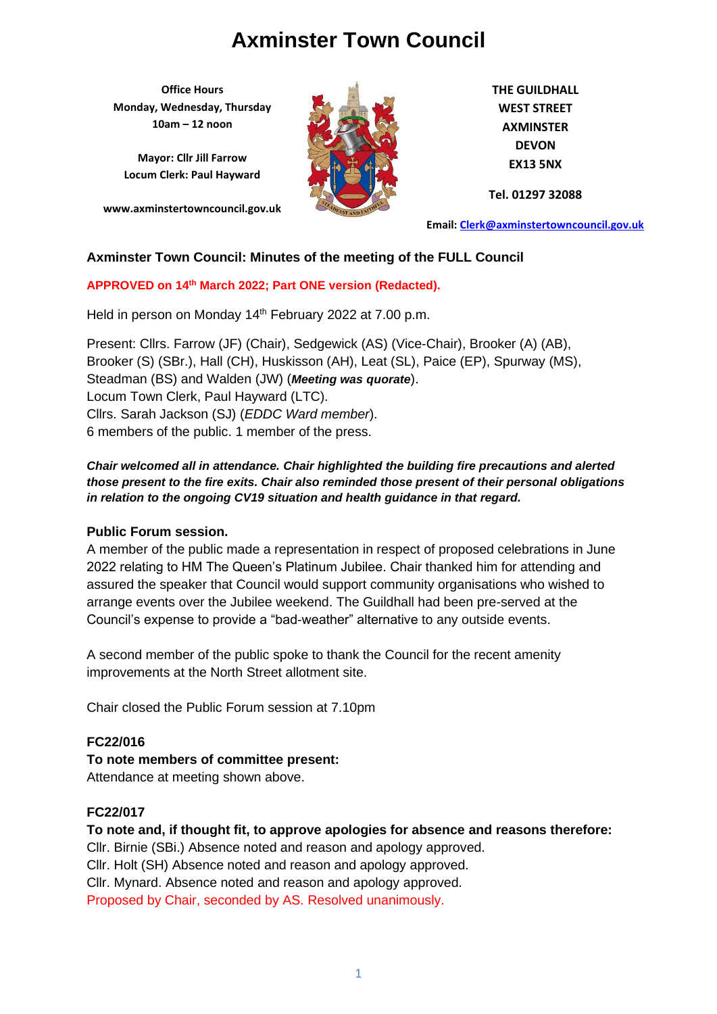**Office Hours Monday, Wednesday, Thursday 10am – 12 noon**

**Mayor: Cllr Jill Farrow Locum Clerk: Paul Hayward**

**www.axminstertowncouncil.gov.uk**



**THE GUILDHALL WEST STREET AXMINSTER DEVON EX13 5NX**

**Tel. 01297 32088**

**Email: [Clerk@axminstertowncouncil.gov.uk](file://///axm-svr-1/company/Templates/Clerk@axminstertowncouncil.gov.uk)**

#### **Axminster Town Council: Minutes of the meeting of the FULL Council**

#### **APPROVED on 14th March 2022; Part ONE version (Redacted).**

Held in person on Monday 14<sup>th</sup> February 2022 at 7.00 p.m.

Present: Cllrs. Farrow (JF) (Chair), Sedgewick (AS) (Vice-Chair), Brooker (A) (AB), Brooker (S) (SBr.), Hall (CH), Huskisson (AH), Leat (SL), Paice (EP), Spurway (MS), Steadman (BS) and Walden (JW) (*Meeting was quorate*). Locum Town Clerk, Paul Hayward (LTC). Cllrs. Sarah Jackson (SJ) (*EDDC Ward member*). 6 members of the public. 1 member of the press.

#### *Chair welcomed all in attendance. Chair highlighted the building fire precautions and alerted those present to the fire exits. Chair also reminded those present of their personal obligations in relation to the ongoing CV19 situation and health guidance in that regard.*

#### **Public Forum session.**

A member of the public made a representation in respect of proposed celebrations in June 2022 relating to HM The Queen's Platinum Jubilee. Chair thanked him for attending and assured the speaker that Council would support community organisations who wished to arrange events over the Jubilee weekend. The Guildhall had been pre-served at the Council's expense to provide a "bad-weather" alternative to any outside events.

A second member of the public spoke to thank the Council for the recent amenity improvements at the North Street allotment site.

Chair closed the Public Forum session at 7.10pm

### **FC22/016**

**To note members of committee present:**

Attendance at meeting shown above.

#### **FC22/017**

**To note and, if thought fit, to approve apologies for absence and reasons therefore:**

Cllr. Birnie (SBi.) Absence noted and reason and apology approved.

Cllr. Holt (SH) Absence noted and reason and apology approved.

Cllr. Mynard. Absence noted and reason and apology approved.

Proposed by Chair, seconded by AS. Resolved unanimously.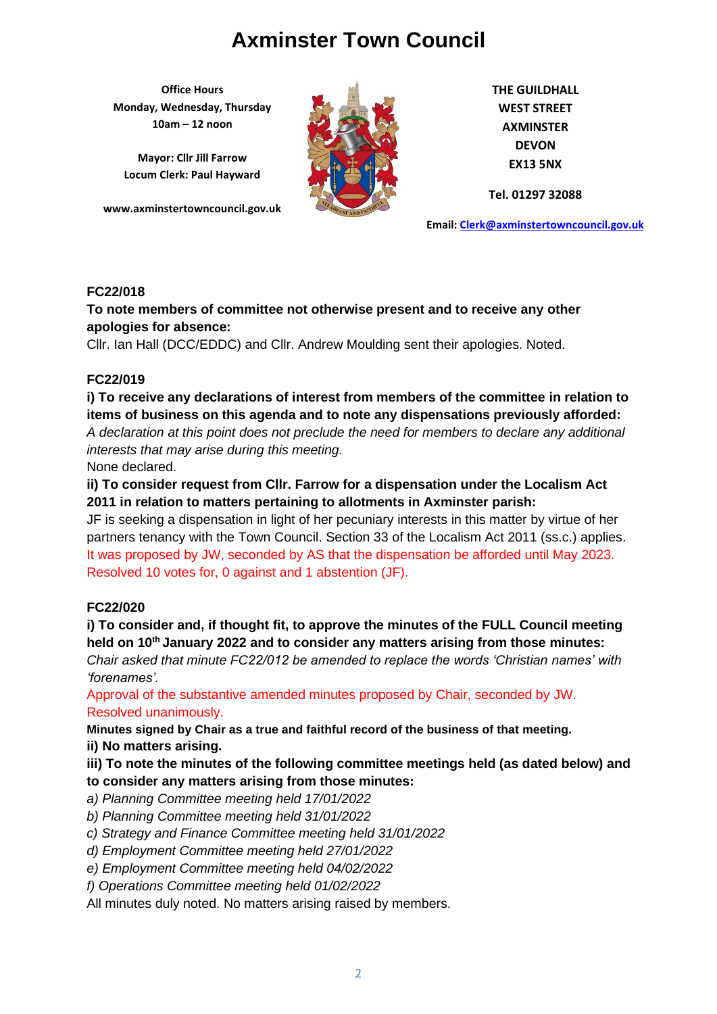**Office Hours Monday, Wednesday, Thursday 10am – 12 noon**

**Mayor: Cllr Jill Farrow Locum Clerk: Paul Hayward**

**www.axminstertowncouncil.gov.uk**



**THE GUILDHALL WEST STREET AXMINSTER DEVON EX13 5NX**

**Tel. 01297 32088**

**Email: [Clerk@axminstertowncouncil.gov.uk](file://///axm-svr-1/company/Templates/Clerk@axminstertowncouncil.gov.uk)**

### **FC22/018**

#### **TEL: 01297 32088 To note members of committee not otherwise present and to receive any other apologies for absence:**

Cllr. Ian Hall (DCC/EDDC) and Cllr. Andrew Moulding sent their apologies. Noted.

### **FC22/019**

## **i) To receive any declarations of interest from members of the committee in relation to items of business on this agenda and to note any dispensations previously afforded:**

*A declaration at this point does not preclude the need for members to declare any additional interests that may arise during this meeting.*

None declared.

## **ii) To consider request from Cllr. Farrow for a dispensation under the Localism Act 2011 in relation to matters pertaining to allotments in Axminster parish:**

JF is seeking a dispensation in light of her pecuniary interests in this matter by virtue of her partners tenancy with the Town Council. Section 33 of the Localism Act 2011 (ss.c.) applies. It was proposed by JW, seconded by AS that the dispensation be afforded until May 2023. Resolved 10 votes for, 0 against and 1 abstention (JF).

### **FC22/020**

## **i) To consider and, if thought fit, to approve the minutes of the FULL Council meeting held on 10th January 2022 and to consider any matters arising from those minutes:**

*Chair asked that minute FC22/012 be amended to replace the words 'Christian names' with 'forenames'.*

Approval of the substantive amended minutes proposed by Chair, seconded by JW. Resolved unanimously.

**Minutes signed by Chair as a true and faithful record of the business of that meeting.**

**ii) No matters arising.**

## **iii) To note the minutes of the following committee meetings held (as dated below) and to consider any matters arising from those minutes:**

- *a) Planning Committee meeting held 17/01/2022*
- *b) Planning Committee meeting held 31/01/2022*
- *c) Strategy and Finance Committee meeting held 31/01/2022*
- *d) Employment Committee meeting held 27/01/2022*
- *e) Employment Committee meeting held 04/02/2022*
- *f) Operations Committee meeting held 01/02/2022*

All minutes duly noted. No matters arising raised by members.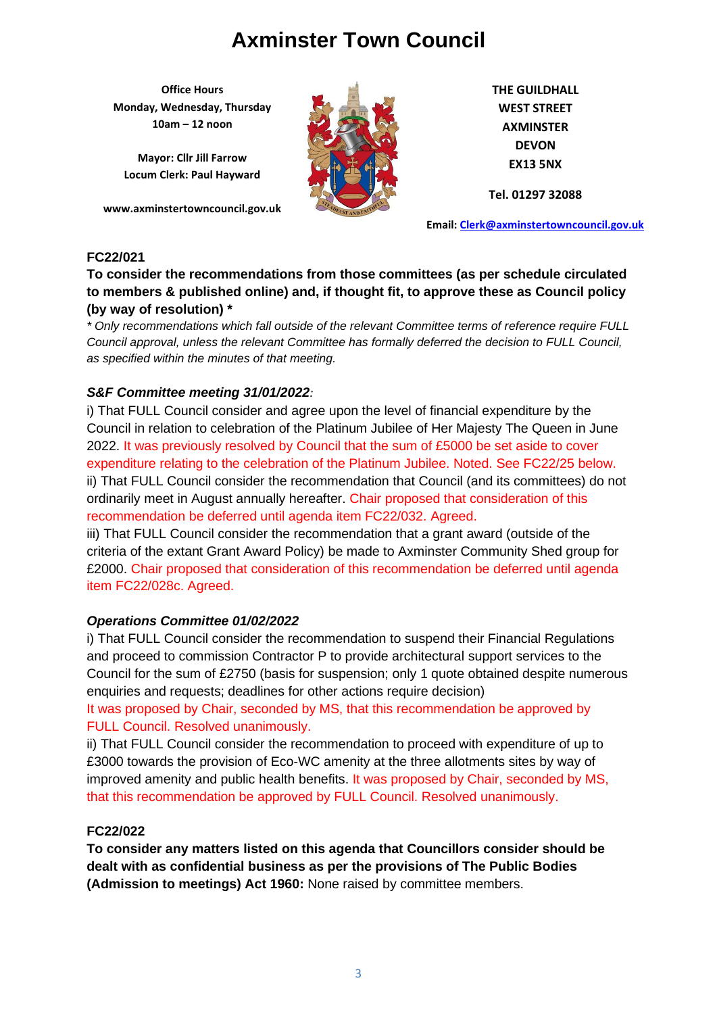**Office Hours Monday, Wednesday, Thursday 10am – 12 noon**

**Mayor: Cllr Jill Farrow Locum Clerk: Paul Hayward**

**www.axminstertowncouncil.gov.uk**



**THE GUILDHALL WEST STREET AXMINSTER DEVON EX13 5NX**

**Tel. 01297 32088**

**Email: [Clerk@axminstertowncouncil.gov.uk](file://///axm-svr-1/company/Templates/Clerk@axminstertowncouncil.gov.uk)**

### **FC22/021**

### **To consider the recommendations from those committees (as per schedule circulated to members & published online) and, if thought fit, to approve these as Council policy (by way of resolution) \***

**TEL: 01297 32088** *Council approval, unless the relevant Committee has formally deferred the decision to FULL Council, \* Only recommendations which fall outside of the relevant Committee terms of reference require FULL as specified within the minutes of that meeting.*

### *S&F Committee meeting 31/01/2022:*

i) That FULL Council consider and agree upon the level of financial expenditure by the Council in relation to celebration of the Platinum Jubilee of Her Majesty The Queen in June 2022. It was previously resolved by Council that the sum of £5000 be set aside to cover expenditure relating to the celebration of the Platinum Jubilee. Noted. See FC22/25 below. ii) That FULL Council consider the recommendation that Council (and its committees) do not ordinarily meet in August annually hereafter. Chair proposed that consideration of this recommendation be deferred until agenda item FC22/032. Agreed.

iii) That FULL Council consider the recommendation that a grant award (outside of the criteria of the extant Grant Award Policy) be made to Axminster Community Shed group for £2000. Chair proposed that consideration of this recommendation be deferred until agenda item FC22/028c. Agreed.

### *Operations Committee 01/02/2022*

i) That FULL Council consider the recommendation to suspend their Financial Regulations and proceed to commission Contractor P to provide architectural support services to the Council for the sum of £2750 (basis for suspension; only 1 quote obtained despite numerous enquiries and requests; deadlines for other actions require decision)

It was proposed by Chair, seconded by MS, that this recommendation be approved by FULL Council. Resolved unanimously.

ii) That FULL Council consider the recommendation to proceed with expenditure of up to £3000 towards the provision of Eco-WC amenity at the three allotments sites by way of improved amenity and public health benefits. It was proposed by Chair, seconded by MS, that this recommendation be approved by FULL Council. Resolved unanimously.

### **FC22/022**

**To consider any matters listed on this agenda that Councillors consider should be dealt with as confidential business as per the provisions of The Public Bodies (Admission to meetings) Act 1960:** None raised by committee members.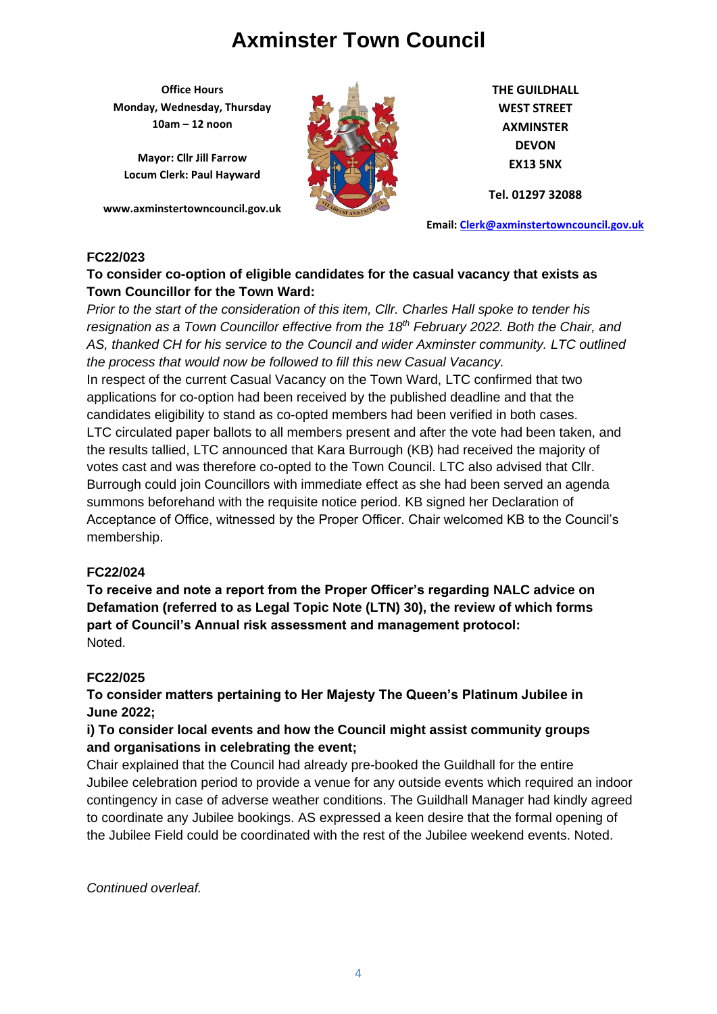**Office Hours Monday, Wednesday, Thursday 10am – 12 noon**

**Mayor: Cllr Jill Farrow Locum Clerk: Paul Hayward**

**www.axminstertowncouncil.gov.uk**



**THE GUILDHALL WEST STREET AXMINSTER DEVON EX13 5NX**

**Tel. 01297 32088**

**Email: [Clerk@axminstertowncouncil.gov.uk](file://///axm-svr-1/company/Templates/Clerk@axminstertowncouncil.gov.uk)**

### **FC22/023**

### **To consider co-option of eligible candidates for the casual vacancy that exists as Town Councillor for the Town Ward:**

**TEL:** DUIT THE UTION *Prior to the start of the consideration of this item, Cllr. Charles Hall spoke to tender his resignation as a Town Councillor effective from the 18th February 2022. Both the Chair, and AS, thanked CH for his service to the Council and wider Axminster community. LTC outlined the process that would now be followed to fill this new Casual Vacancy.*

In respect of the current Casual Vacancy on the Town Ward, LTC confirmed that two applications for co-option had been received by the published deadline and that the candidates eligibility to stand as co-opted members had been verified in both cases. LTC circulated paper ballots to all members present and after the vote had been taken, and the results tallied, LTC announced that Kara Burrough (KB) had received the majority of votes cast and was therefore co-opted to the Town Council. LTC also advised that Cllr. Burrough could join Councillors with immediate effect as she had been served an agenda summons beforehand with the requisite notice period. KB signed her Declaration of Acceptance of Office, witnessed by the Proper Officer. Chair welcomed KB to the Council's membership.

### **FC22/024**

**To receive and note a report from the Proper Officer's regarding NALC advice on Defamation (referred to as Legal Topic Note (LTN) 30), the review of which forms part of Council's Annual risk assessment and management protocol:** Noted.

### **FC22/025**

**To consider matters pertaining to Her Majesty The Queen's Platinum Jubilee in June 2022;** 

## **i) To consider local events and how the Council might assist community groups and organisations in celebrating the event;**

Chair explained that the Council had already pre-booked the Guildhall for the entire Jubilee celebration period to provide a venue for any outside events which required an indoor contingency in case of adverse weather conditions. The Guildhall Manager had kindly agreed to coordinate any Jubilee bookings. AS expressed a keen desire that the formal opening of the Jubilee Field could be coordinated with the rest of the Jubilee weekend events. Noted.

*Continued overleaf.*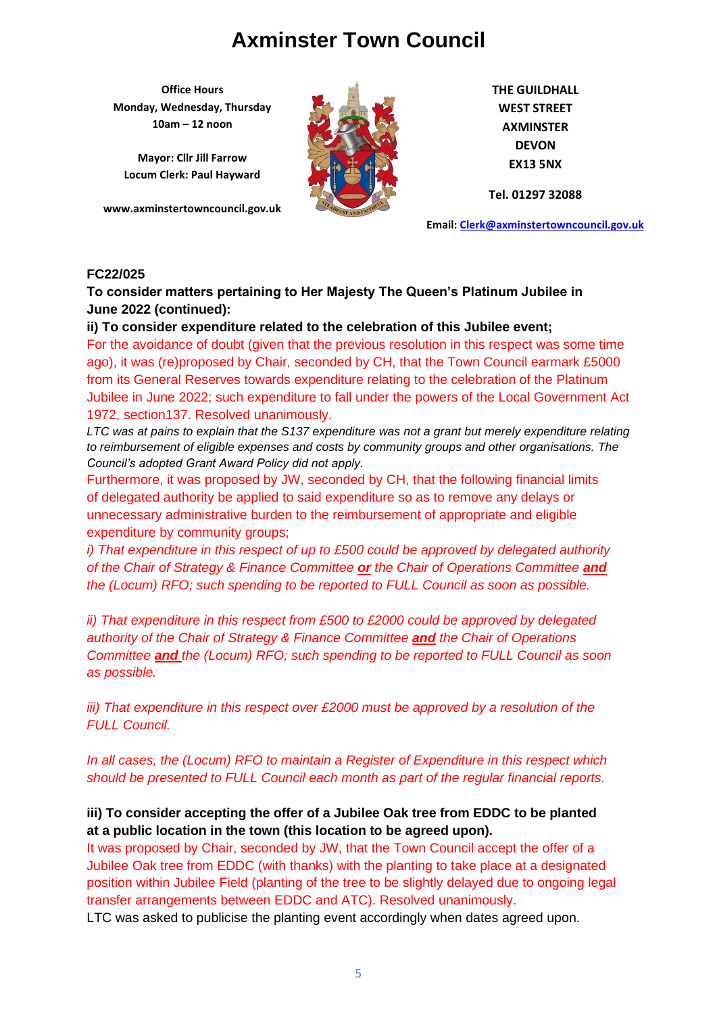**Office Hours Monday, Wednesday, Thursday 10am – 12 noon**

**Mayor: Cllr Jill Farrow Locum Clerk: Paul Hayward**

**www.axminstertowncouncil.gov.uk**



**THE GUILDHALL WEST STREET AXMINSTER DEVON EX13 5NX**

**Tel. 01297 32088**

**Email: [Clerk@axminstertowncouncil.gov.uk](file://///axm-svr-1/company/Templates/Clerk@axminstertowncouncil.gov.uk)**

#### **FC22/025**

**To consider matters pertaining to Her Majesty The Queen's Platinum Jubilee in June 2022 (continued):**

**ii) To consider expenditure related to the celebration of this Jubilee event;**

**TEL:** 0.000 3200 For the avoidance of doubt (given that the previous resolution in this respect was some time ago), it was (re)proposed by Chair, seconded by CH, that the Town Council earmark £5000 from its General Reserves towards expenditure relating to the celebration of the Platinum Jubilee in June 2022; such expenditure to fall under the powers of the Local Government Act 1972, section137. Resolved unanimously.

*LTC was at pains to explain that the S137 expenditure was not a grant but merely expenditure relating to reimbursement of eligible expenses and costs by community groups and other organisations. The Council's adopted Grant Award Policy did not apply.*

Furthermore, it was proposed by JW, seconded by CH, that the following financial limits of delegated authority be applied to said expenditure so as to remove any delays or unnecessary administrative burden to the reimbursement of appropriate and eligible expenditure by community groups;

*i)* That expenditure in this respect of up to £500 could be approved by delegated authority *of the Chair of Strategy & Finance Committee or the Chair of Operations Committee and the (Locum) RFO; such spending to be reported to FULL Council as soon as possible.*

*ii) That expenditure in this respect from £500 to £2000 could be approved by delegated authority of the Chair of Strategy & Finance Committee and the Chair of Operations Committee and the (Locum) RFO; such spending to be reported to FULL Council as soon as possible.*

*iii)* That expenditure in this respect over £2000 must be approved by a resolution of the *FULL Council.*

*In all cases, the (Locum) RFO to maintain a Register of Expenditure in this respect which should be presented to FULL Council each month as part of the regular financial reports.* 

### **iii) To consider accepting the offer of a Jubilee Oak tree from EDDC to be planted at a public location in the town (this location to be agreed upon).**

It was proposed by Chair, seconded by JW, that the Town Council accept the offer of a Jubilee Oak tree from EDDC (with thanks) with the planting to take place at a designated position within Jubilee Field (planting of the tree to be slightly delayed due to ongoing legal transfer arrangements between EDDC and ATC). Resolved unanimously.

LTC was asked to publicise the planting event accordingly when dates agreed upon.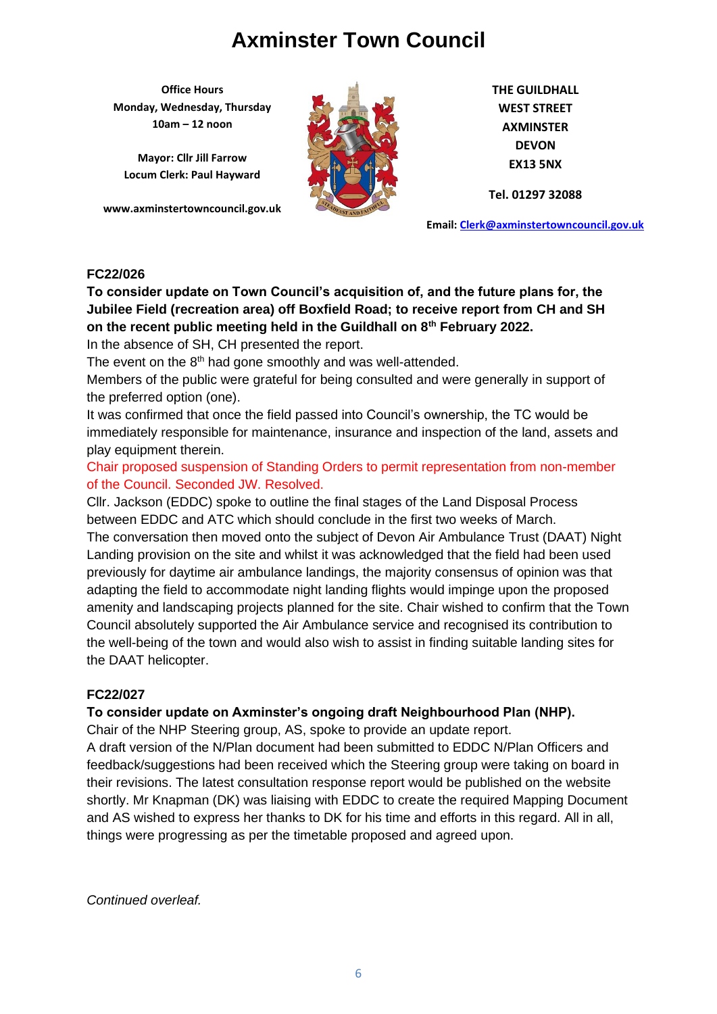**Office Hours Monday, Wednesday, Thursday 10am – 12 noon**

**Mayor: Cllr Jill Farrow Locum Clerk: Paul Hayward**

**www.axminstertowncouncil.gov.uk**



**THE GUILDHALL WEST STREET AXMINSTER DEVON EX13 5NX**

**Tel. 01297 32088**

**Email: [Clerk@axminstertowncouncil.gov.uk](file://///axm-svr-1/company/Templates/Clerk@axminstertowncouncil.gov.uk)**

### **FC22/026**

**TEL: 01297 32088 on the recent public meeting held in the Guildhall on 8th February 2022. To consider update on Town Council's acquisition of, and the future plans for, the Jubilee Field (recreation area) off Boxfield Road; to receive report from CH and SH**

In the absence of SH, CH presented the report.

The event on the 8<sup>th</sup> had gone smoothly and was well-attended.

Members of the public were grateful for being consulted and were generally in support of the preferred option (one).

It was confirmed that once the field passed into Council's ownership, the TC would be immediately responsible for maintenance, insurance and inspection of the land, assets and play equipment therein.

Chair proposed suspension of Standing Orders to permit representation from non-member of the Council. Seconded JW. Resolved.

Cllr. Jackson (EDDC) spoke to outline the final stages of the Land Disposal Process between EDDC and ATC which should conclude in the first two weeks of March. The conversation then moved onto the subject of Devon Air Ambulance Trust (DAAT) Night Landing provision on the site and whilst it was acknowledged that the field had been used previously for daytime air ambulance landings, the majority consensus of opinion was that adapting the field to accommodate night landing flights would impinge upon the proposed amenity and landscaping projects planned for the site. Chair wished to confirm that the Town Council absolutely supported the Air Ambulance service and recognised its contribution to the well-being of the town and would also wish to assist in finding suitable landing sites for the DAAT helicopter.

### **FC22/027**

### **To consider update on Axminster's ongoing draft Neighbourhood Plan (NHP).**

Chair of the NHP Steering group, AS, spoke to provide an update report.

A draft version of the N/Plan document had been submitted to EDDC N/Plan Officers and feedback/suggestions had been received which the Steering group were taking on board in their revisions. The latest consultation response report would be published on the website shortly. Mr Knapman (DK) was liaising with EDDC to create the required Mapping Document and AS wished to express her thanks to DK for his time and efforts in this regard. All in all, things were progressing as per the timetable proposed and agreed upon.

*Continued overleaf.*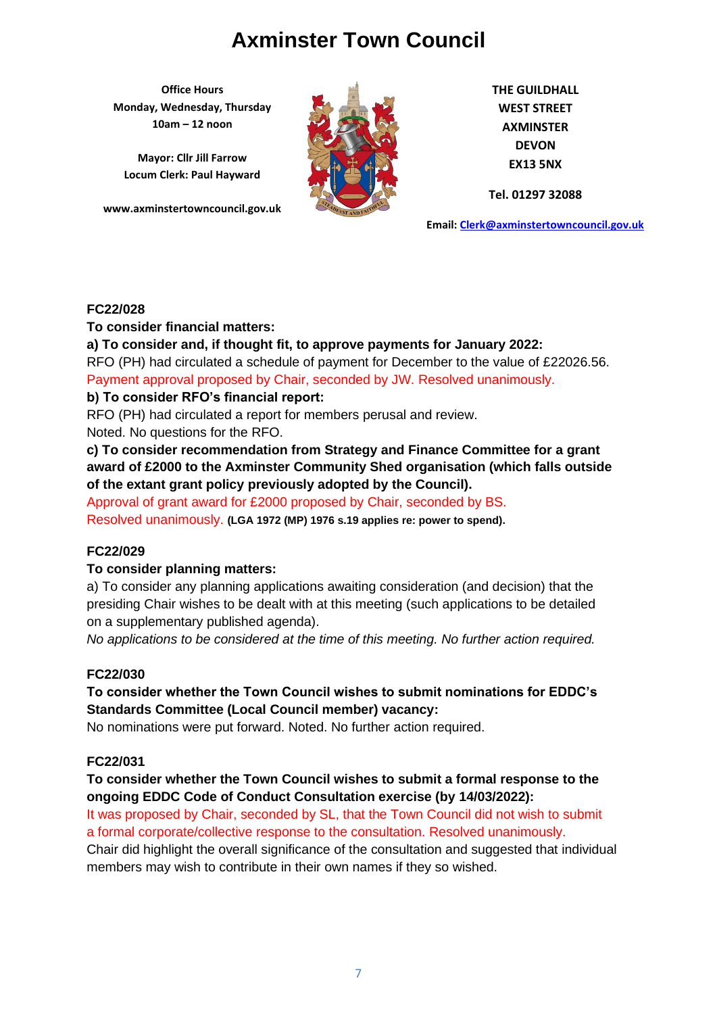**Office Hours Monday, Wednesday, Thursday 10am – 12 noon**

**Mayor: Cllr Jill Farrow Locum Clerk: Paul Hayward**

**www.axminstertowncouncil.gov.uk**



**THE GUILDHALL WEST STREET AXMINSTER DEVON EX13 5NX**

**Tel. 01297 32088**

**Email: [Clerk@axminstertowncouncil.gov.uk](file://///axm-svr-1/company/Templates/Clerk@axminstertowncouncil.gov.uk)**

### **FC22/028**

### **To consider financial matters:**

**TEL: 01297 32088 a) To consider and, if thought fit, to approve payments for January 2022:** RFO (PH) had circulated a schedule of payment for December to the value of £22026.56. Payment approval proposed by Chair, seconded by JW. Resolved unanimously.

### **b) To consider RFO's financial report:**

RFO (PH) had circulated a report for members perusal and review.

Noted. No questions for the RFO.

**c) To consider recommendation from Strategy and Finance Committee for a grant award of £2000 to the Axminster Community Shed organisation (which falls outside of the extant grant policy previously adopted by the Council).**

Approval of grant award for £2000 proposed by Chair, seconded by BS.

Resolved unanimously. **(LGA 1972 (MP) 1976 s.19 applies re: power to spend).**

### **FC22/029**

### **To consider planning matters:**

a) To consider any planning applications awaiting consideration (and decision) that the presiding Chair wishes to be dealt with at this meeting (such applications to be detailed on a supplementary published agenda).

*No applications to be considered at the time of this meeting. No further action required.*

### **FC22/030**

**To consider whether the Town Council wishes to submit nominations for EDDC's Standards Committee (Local Council member) vacancy:**

No nominations were put forward. Noted. No further action required.

### **FC22/031**

## **To consider whether the Town Council wishes to submit a formal response to the ongoing EDDC Code of Conduct Consultation exercise (by 14/03/2022):**

It was proposed by Chair, seconded by SL, that the Town Council did not wish to submit a formal corporate/collective response to the consultation. Resolved unanimously.

Chair did highlight the overall significance of the consultation and suggested that individual members may wish to contribute in their own names if they so wished.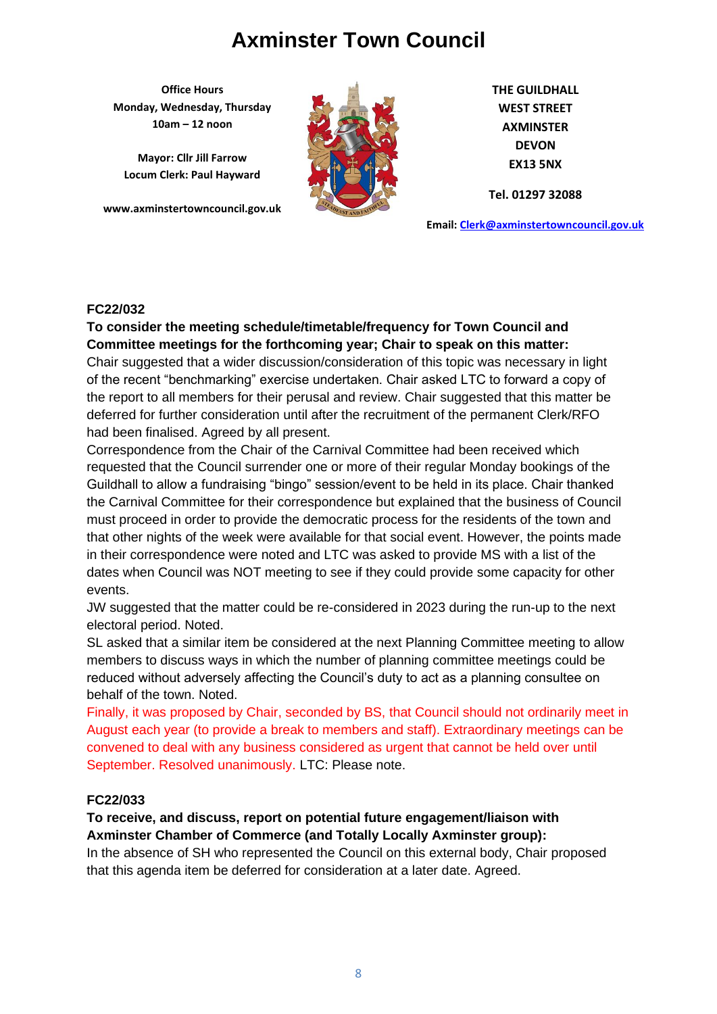**Office Hours Monday, Wednesday, Thursday 10am – 12 noon**

**Mayor: Cllr Jill Farrow Locum Clerk: Paul Hayward**

**www.axminstertowncouncil.gov.uk**



**THE GUILDHALL WEST STREET AXMINSTER DEVON EX13 5NX**

**Tel. 01297 32088**

**Email: [Clerk@axminstertowncouncil.gov.uk](file://///axm-svr-1/company/Templates/Clerk@axminstertowncouncil.gov.uk)**

#### **FC22/032**

To consider the meeting schedule/timetable/frequency for Town Council and<br>
and **Consider the construction Committee meetings for the forthcoming year; Chair to speak on this matter:**

Chair suggested that a wider discussion/consideration of this topic was necessary in light of the recent "benchmarking" exercise undertaken. Chair asked LTC to forward a copy of the report to all members for their perusal and review. Chair suggested that this matter be deferred for further consideration until after the recruitment of the permanent Clerk/RFO had been finalised. Agreed by all present.

Correspondence from the Chair of the Carnival Committee had been received which requested that the Council surrender one or more of their regular Monday bookings of the Guildhall to allow a fundraising "bingo" session/event to be held in its place. Chair thanked the Carnival Committee for their correspondence but explained that the business of Council must proceed in order to provide the democratic process for the residents of the town and that other nights of the week were available for that social event. However, the points made in their correspondence were noted and LTC was asked to provide MS with a list of the dates when Council was NOT meeting to see if they could provide some capacity for other events.

JW suggested that the matter could be re-considered in 2023 during the run-up to the next electoral period. Noted.

SL asked that a similar item be considered at the next Planning Committee meeting to allow members to discuss ways in which the number of planning committee meetings could be reduced without adversely affecting the Council's duty to act as a planning consultee on behalf of the town. Noted.

Finally, it was proposed by Chair, seconded by BS, that Council should not ordinarily meet in August each year (to provide a break to members and staff). Extraordinary meetings can be convened to deal with any business considered as urgent that cannot be held over until September. Resolved unanimously. LTC: Please note.

### **FC22/033**

**To receive, and discuss, report on potential future engagement/liaison with Axminster Chamber of Commerce (and Totally Locally Axminster group):**

In the absence of SH who represented the Council on this external body, Chair proposed that this agenda item be deferred for consideration at a later date. Agreed.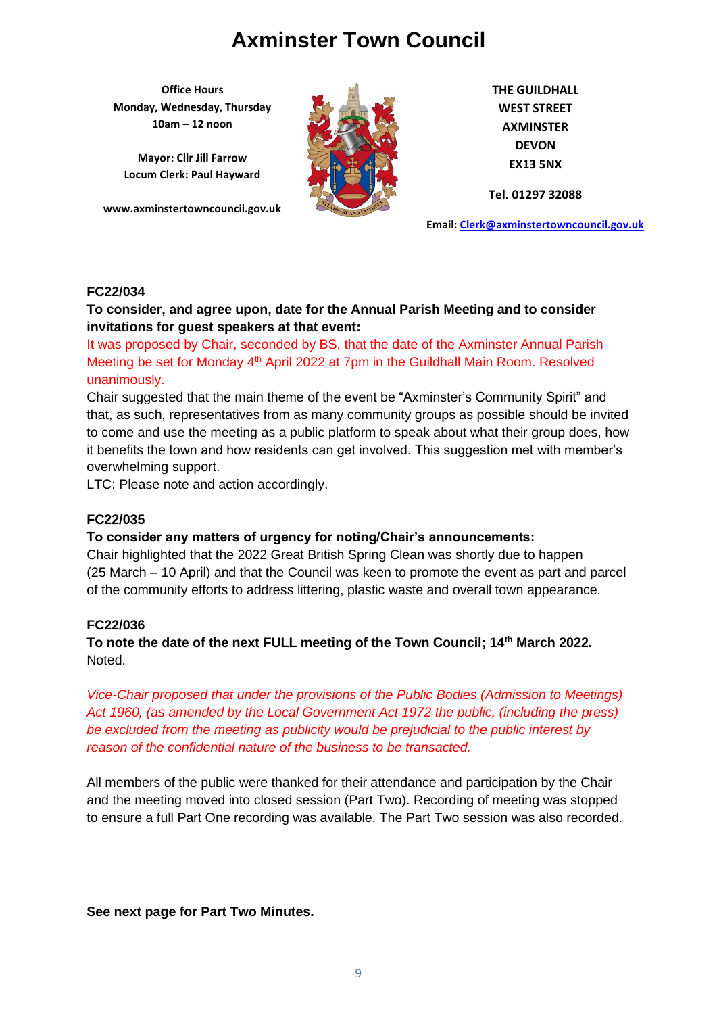**Office Hours Monday, Wednesday, Thursday 10am – 12 noon**

**Mayor: Cllr Jill Farrow Locum Clerk: Paul Hayward**

**www.axminstertowncouncil.gov.uk**



**THE GUILDHALL WEST STREET AXMINSTER DEVON EX13 5NX**

**Tel. 01297 32088**

**Email: [Clerk@axminstertowncouncil.gov.uk](file://///axm-svr-1/company/Templates/Clerk@axminstertowncouncil.gov.uk)**

### **FC22/034**

### **To consider, and agree upon, date for the Annual Parish Meeting and to consider invitations for guest speakers at that event:**

**TEL: 01297 32088** It was proposed by Chair, seconded by BS, that the date of the Axminster Annual Parish Meeting be set for Monday 4<sup>th</sup> April 2022 at 7pm in the Guildhall Main Room. Resolved unanimously.

Chair suggested that the main theme of the event be "Axminster's Community Spirit" and that, as such, representatives from as many community groups as possible should be invited to come and use the meeting as a public platform to speak about what their group does, how it benefits the town and how residents can get involved. This suggestion met with member's overwhelming support.

LTC: Please note and action accordingly.

### **FC22/035**

### **To consider any matters of urgency for noting/Chair's announcements:**

Chair highlighted that the 2022 Great British Spring Clean was shortly due to happen (25 March – 10 April) and that the Council was keen to promote the event as part and parcel of the community efforts to address littering, plastic waste and overall town appearance.

### **FC22/036**

**To note the date of the next FULL meeting of the Town Council; 14th March 2022.** Noted.

*Vice-Chair proposed that under the provisions of the Public Bodies (Admission to Meetings) Act 1960, (as amended by the Local Government Act 1972 the public, (including the press) be excluded from the meeting as publicity would be prejudicial to the public interest by reason of the confidential nature of the business to be transacted.*

All members of the public were thanked for their attendance and participation by the Chair and the meeting moved into closed session (Part Two). Recording of meeting was stopped to ensure a full Part One recording was available. The Part Two session was also recorded.

**See next page for Part Two Minutes.**